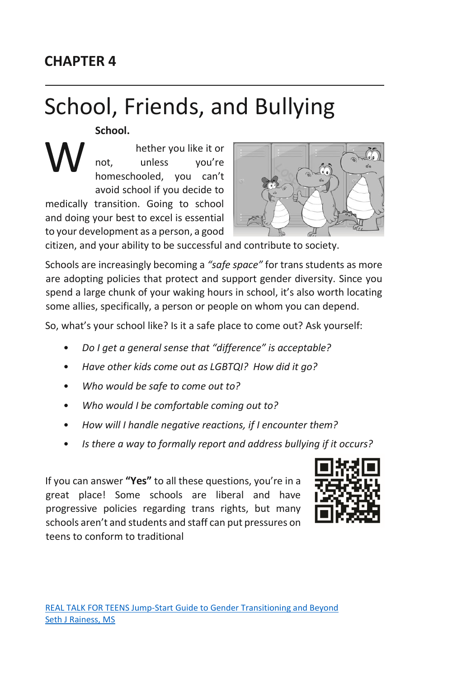# **CHAPTER 4**

# School, Friends, and Bullying

**School.**

hether you like it or not, unless you're homeschooled, you can't avoid school if you decide to medically transition. Going to school and doing your best to excel is essential to your development as a person, a good



citizen, and your ability to be successful and contribute to society.

Schools are increasingly becoming a *"safe space"* for trans students as more are adopting policies that protect and support gender diversity. Since you spend a large chunk of your waking hours in school, it's also worth locating some allies, specifically, a person or people on whom you can depend.

So, what's your school like? Is it a safe place to come out? Ask yourself:

- *Do I get a general sense that "difference" is acceptable?*
- *Have other kids come out as LGBTQI? How did it go?*
- *Who would be safe to come out to?*
- *Who would I be comfortable coming out to?*
- *How will I handle negative reactions, if I encounter them?*
- *Is there a way to formally report and address bullying if it occurs?*

If you can answer **"Yes"** to all these questions, you're in a great place! Some schools are liberal and have progressive policies regarding trans rights, but many schools aren't and students and staff can put pressures on teens to conform to traditional

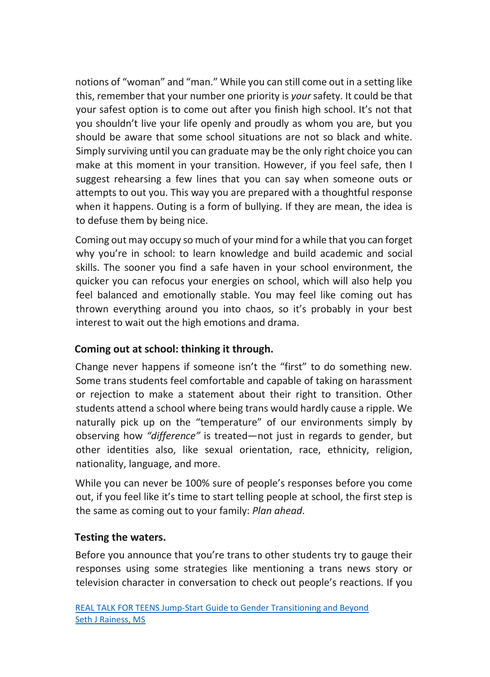notions of "woman" and "man." While you can still come out in a setting like this, remember that your number one priority is *your* safety. It could be that your safest option is to come out after you finish high school. It's not that you shouldn't live your life openly and proudly as whom you are, but you should be aware that some school situations are not so black and white. Simply surviving until you can graduate may be the only right choice you can make at this moment in your transition. However, if you feel safe, then I suggest rehearsing a few lines that you can say when someone outs or attempts to out you. This way you are prepared with a thoughtful response when it happens. Outing is a form of bullying. If they are mean, the idea is to defuse them by being nice.

Coming out may occupy so much of your mind for a while that you can forget why you're in school: to learn knowledge and build academic and social skills. The sooner you find a safe haven in your school environment, the quicker you can refocus your energies on school, which will also help you feel balanced and emotionally stable. You may feel like coming out has thrown everything around you into chaos, so it's probably in your best interest to wait out the high emotions and drama.

# **Coming out at school: thinking it through.**

Change never happens if someone isn't the "first" to do something new. Some trans students feel comfortable and capable of taking on harassment or rejection to make a statement about their right to transition. Other students attend a school where being trans would hardly cause a ripple. We naturally pick up on the "temperature" of our environments simply by observing how *"difference"* is treated—not just in regards to gender, but other identities also, like sexual orientation, race, ethnicity, religion, nationality, language, and more.

While you can never be 100% sure of people's responses before you come out, if you feel like it's time to start telling people at school, the first step is the same as coming out to your family: *Plan ahead*.

#### **Testing the waters.**

Before you announce that you're trans to other students try to gauge their responses using some strategies like mentioning a trans news story or television character in conversation to check out people's reactions. If you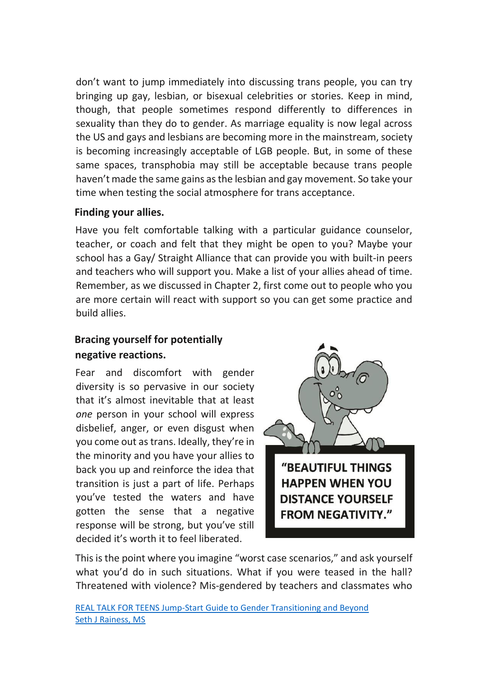don't want to jump immediately into discussing trans people, you can try bringing up gay, lesbian, or bisexual celebrities or stories. Keep in mind, though, that people sometimes respond differently to differences in sexuality than they do to gender. As marriage equality is now legal across the US and gays and lesbians are becoming more in the mainstream, society is becoming increasingly acceptable of LGB people. But, in some of these same spaces, transphobia may still be acceptable because trans people haven't made the same gains as the lesbian and gay movement. So take your time when testing the social atmosphere for trans acceptance.

#### **Finding your allies.**

Have you felt comfortable talking with a particular guidance counselor, teacher, or coach and felt that they might be open to you? Maybe your school has a Gay/ Straight Alliance that can provide you with built-in peers and teachers who will support you. Make a list of your allies ahead of time. Remember, as we discussed in Chapter 2, first come out to people who you are more certain will react with support so you can get some practice and build allies.

# **Bracing yourself for potentially negative reactions.**

Fear and discomfort with gender diversity is so pervasive in our society that it's almost inevitable that at least *one* person in your school will express disbelief, anger, or even disgust when you come out as trans. Ideally, they're in the minority and you have your allies to back you up and reinforce the idea that transition is just a part of life. Perhaps you've tested the waters and have gotten the sense that a negative response will be strong, but you've still decided it's worth it to feel liberated.



This is the point where you imagine "worst case scenarios," and ask yourself what you'd do in such situations. What if you were teased in the hall? Threatened with violence? Mis-gendered by teachers and classmates who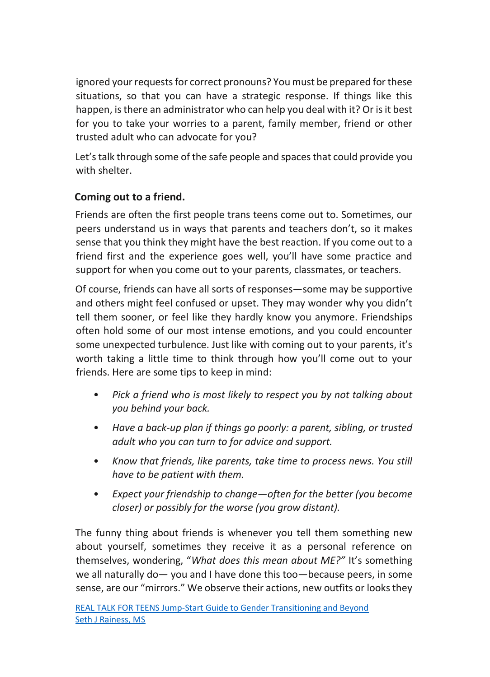ignored your requests for correct pronouns? You must be prepared for these situations, so that you can have a strategic response. If things like this happen, is there an administrator who can help you deal with it? Or is it best for you to take your worries to a parent, family member, friend or other trusted adult who can advocate for you?

Let's talk through some of the safe people and spaces that could provide you with shelter.

# **Coming out to a friend.**

Friends are often the first people trans teens come out to. Sometimes, our peers understand us in ways that parents and teachers don't, so it makes sense that you think they might have the best reaction. If you come out to a friend first and the experience goes well, you'll have some practice and support for when you come out to your parents, classmates, or teachers.

Of course, friends can have all sorts of responses—some may be supportive and others might feel confused or upset. They may wonder why you didn't tell them sooner, or feel like they hardly know you anymore. Friendships often hold some of our most intense emotions, and you could encounter some unexpected turbulence. Just like with coming out to your parents, it's worth taking a little time to think through how you'll come out to your friends. Here are some tips to keep in mind:

- *Pick a friend who is most likely to respect you by not talking about you behind your back.*
- *Have a back-up plan if things go poorly: a parent, sibling, or trusted adult who you can turn to for advice and support.*
- *Know that friends, like parents, take time to process news. You still have to be patient with them.*
- *Expect your friendship to change—often for the better (you become closer) or possibly for the worse (you grow distant).*

The funny thing about friends is whenever you tell them something new about yourself, sometimes they receive it as a personal reference on themselves, wondering, "*What does this mean about ME?"* It's something we all naturally do— you and I have done this too—because peers, in some sense, are our "mirrors." We observe their actions, new outfits or looks they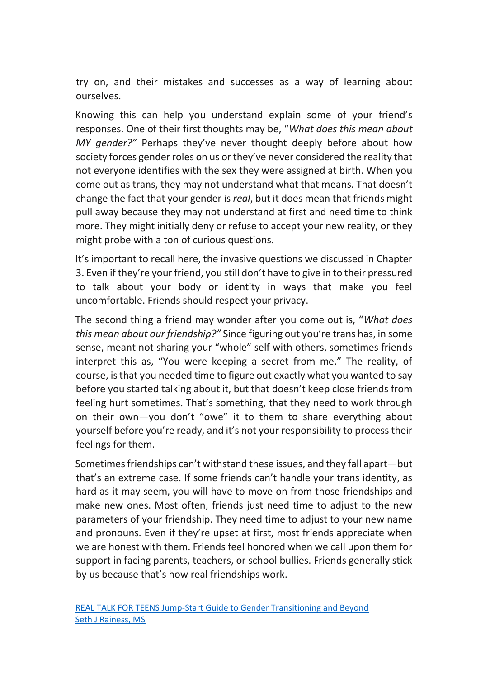try on, and their mistakes and successes as a way of learning about ourselves.

Knowing this can help you understand explain some of your friend's responses. One of their first thoughts may be, "*What does this mean about MY gender?"* Perhaps they've never thought deeply before about how society forces gender roles on us or they've never considered the reality that not everyone identifies with the sex they were assigned at birth. When you come out as trans, they may not understand what that means. That doesn't change the fact that your gender is *real*, but it does mean that friends might pull away because they may not understand at first and need time to think more. They might initially deny or refuse to accept your new reality, or they might probe with a ton of curious questions.

It's important to recall here, the invasive questions we discussed in Chapter 3. Even if they're your friend, you still don't have to give in to their pressured to talk about your body or identity in ways that make you feel uncomfortable. Friends should respect your privacy.

The second thing a friend may wonder after you come out is, "*What does this mean about our friendship?"* Since figuring out you're trans has, in some sense, meant not sharing your "whole" self with others, sometimes friends interpret this as, "You were keeping a secret from me." The reality, of course, is that you needed time to figure out exactly what you wanted to say before you started talking about it, but that doesn't keep close friends from feeling hurt sometimes. That's something, that they need to work through on their own—you don't "owe" it to them to share everything about yourself before you're ready, and it's not your responsibility to process their feelings for them.

Sometimes friendships can't withstand these issues, and they fall apart—but that's an extreme case. If some friends can't handle your trans identity, as hard as it may seem, you will have to move on from those friendships and make new ones. Most often, friends just need time to adjust to the new parameters of your friendship. They need time to adjust to your new name and pronouns. Even if they're upset at first, most friends appreciate when we are honest with them. Friends feel honored when we call upon them for support in facing parents, teachers, or school bullies. Friends generally stick by us because that's how real friendships work.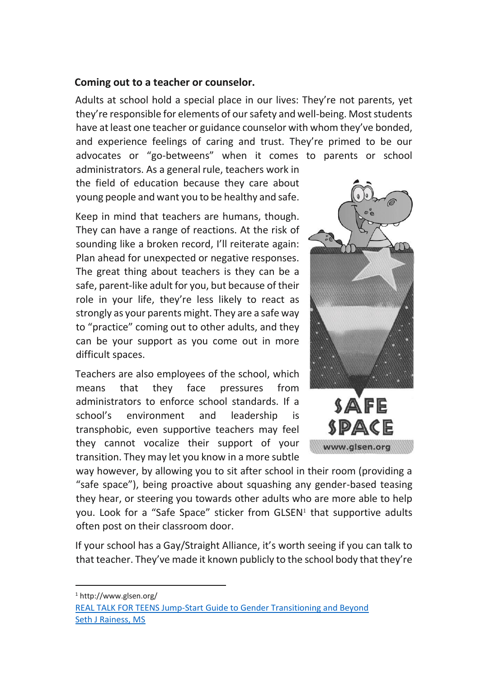#### **Coming out to a teacher or counselor.**

Adults at school hold a special place in our lives: They're not parents, yet they're responsible for elements of our safety and well-being. Most students have at least one teacher or guidance counselor with whom they've bonded, and experience feelings of caring and trust. They're primed to be our advocates or "go-betweens" when it comes to parents or school

administrators. As a general rule, teachers work in the field of education because they care about young people and want you to be healthy and safe.

Keep in mind that teachers are humans, though. They can have a range of reactions. At the risk of sounding like a broken record, I'll reiterate again: Plan ahead for unexpected or negative responses. The great thing about teachers is they can be a safe, parent-like adult for you, but because of their role in your life, they're less likely to react as strongly as your parents might. They are a safe way to "practice" coming out to other adults, and they can be your support as you come out in more difficult spaces.

Teachers are also employees of the school, which means that they face pressures from administrators to enforce school standards. If a school's environment and leadership is transphobic, even supportive teachers may feel they cannot vocalize their support of your transition. They may let you know in a more subtle



way however, by allowing you to sit after school in their room (providing a "safe space"), being proactive about squashing any gender-based teasing they hear, or steering you towards other adults who are more able to help you. Look for a "Safe Space" sticker from GLSEN<sup>1</sup> that supportive adults often post on their classroom door.

If your school has a Gay/Straight Alliance, it's worth seeing if you can talk to that teacher. They've made it known publicly to the school body that they're

<sup>1</sup> http://www.glsen.org/

 $\overline{a}$ 

[REAL TALK FOR TEENS Jump-Start Guide to Gender Transitioning and Beyond](http://bit.ly/20XZNvu) [Seth J Rainess, MS](http://bit.ly/20XZNvu)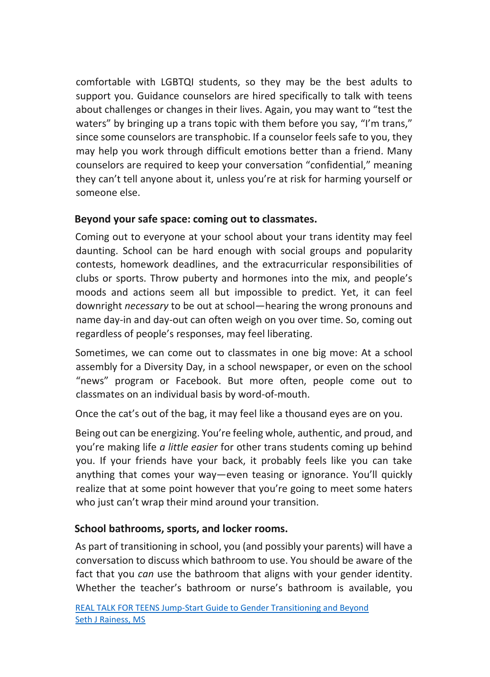comfortable with LGBTQI students, so they may be the best adults to support you. Guidance counselors are hired specifically to talk with teens about challenges or changes in their lives. Again, you may want to "test the waters" by bringing up a trans topic with them before you say, "I'm trans," since some counselors are transphobic. If a counselor feels safe to you, they may help you work through difficult emotions better than a friend. Many counselors are required to keep your conversation "confidential," meaning they can't tell anyone about it, unless you're at risk for harming yourself or someone else.

# **Beyond your safe space: coming out to classmates.**

Coming out to everyone at your school about your trans identity may feel daunting. School can be hard enough with social groups and popularity contests, homework deadlines, and the extracurricular responsibilities of clubs or sports. Throw puberty and hormones into the mix, and people's moods and actions seem all but impossible to predict. Yet, it can feel downright *necessary* to be out at school—hearing the wrong pronouns and name day-in and day-out can often weigh on you over time. So, coming out regardless of people's responses, may feel liberating.

Sometimes, we can come out to classmates in one big move: At a school assembly for a Diversity Day, in a school newspaper, or even on the school "news" program or Facebook. But more often, people come out to classmates on an individual basis by word-of-mouth.

Once the cat's out of the bag, it may feel like a thousand eyes are on you.

Being out can be energizing. You're feeling whole, authentic, and proud, and you're making life *a little easier* for other trans students coming up behind you. If your friends have your back, it probably feels like you can take anything that comes your way—even teasing or ignorance. You'll quickly realize that at some point however that you're going to meet some haters who just can't wrap their mind around your transition.

# **School bathrooms, sports, and locker rooms.**

As part of transitioning in school, you (and possibly your parents) will have a conversation to discuss which bathroom to use. You should be aware of the fact that you *can* use the bathroom that aligns with your gender identity. Whether the teacher's bathroom or nurse's bathroom is available, you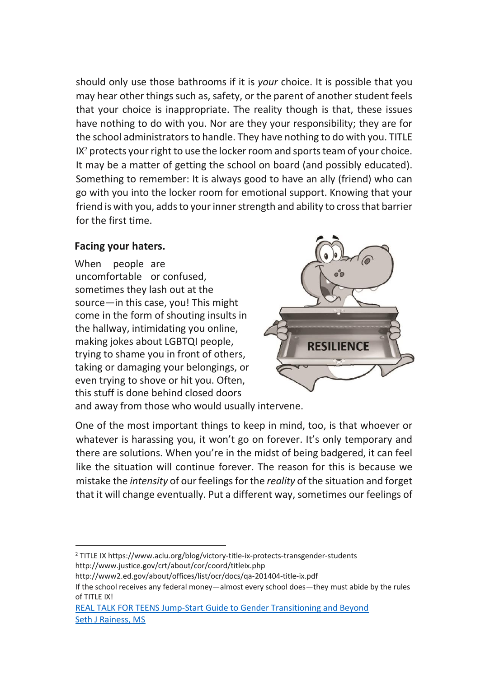should only use those bathrooms if it is *your* choice. It is possible that you may hear other things such as, safety, or the parent of another student feels that your choice is inappropriate. The reality though is that, these issues have nothing to do with you. Nor are they your responsibility; they are for the school administrators to handle. They have nothing to do with you. TITLE IX<sup>2</sup> protects your right to use the locker room and sports team of your choice. It may be a matter of getting the school on board (and possibly educated). Something to remember: It is always good to have an ally (friend) who can go with you into the locker room for emotional support. Knowing that your friend is with you, adds to your inner strength and ability to cross that barrier for the first time.

#### **Facing your haters.**

 $\overline{a}$ 

When people are uncomfortable or confused, sometimes they lash out at the source—in this case, you! This might come in the form of shouting insults in the hallway, intimidating you online, making jokes about LGBTQI people, trying to shame you in front of others, taking or damaging your belongings, or even trying to shove or hit you. Often, this stuff is done behind closed doors



and away from those who would usually intervene.

One of the most important things to keep in mind, too, is that whoever or whatever is harassing you, it won't go on forever. It's only temporary and there are solutions. When you're in the midst of being badgered, it can feel like the situation will continue forever. The reason for this is because we mistake the *intensity* of our feelings for the *reality* of the situation and forget that it will change eventually. Put a different way, sometimes our feelings of

<sup>2</sup> TITLE IX https://www.aclu.org/blog/victory-title-ix-protects-transgender-students http://www.justice.gov/crt/about/cor/coord/titleix.php

http://www2.ed.gov/about/offices/list/ocr/docs/qa-201404-title-ix.pdf

If the school receives any federal money—almost every school does—they must abide by the rules of TITLE IX!

[REAL TALK FOR TEENS Jump-Start Guide to Gender Transitioning and Beyond](http://bit.ly/20XZNvu) [Seth J Rainess, MS](http://bit.ly/20XZNvu)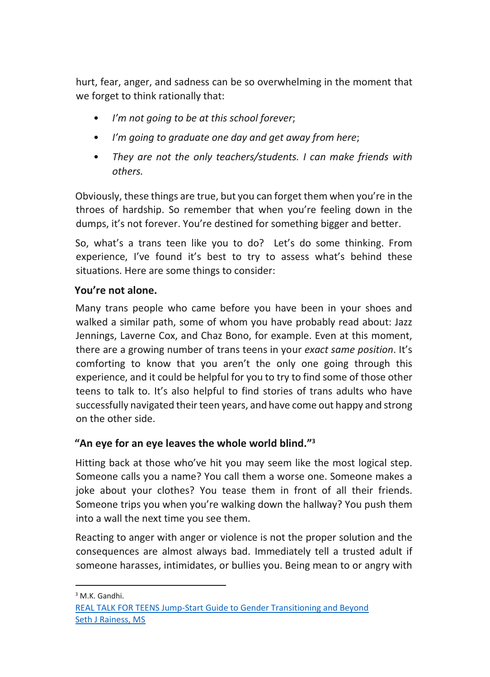hurt, fear, anger, and sadness can be so overwhelming in the moment that we forget to think rationally that:

- *I'm not going to be at this school forever*;
- *I'm going to graduate one day and get away from here*;
- *They are not the only teachers/students. I can make friends with others.*

Obviously, these things are true, but you can forget them when you're in the throes of hardship. So remember that when you're feeling down in the dumps, it's not forever. You're destined for something bigger and better.

So, what's a trans teen like you to do? Let's do some thinking. From experience, I've found it's best to try to assess what's behind these situations. Here are some things to consider:

#### **You're not alone.**

Many trans people who came before you have been in your shoes and walked a similar path, some of whom you have probably read about: Jazz Jennings, Laverne Cox, and Chaz Bono, for example. Even at this moment, there are a growing number of trans teens in your *exact same position*. It's comforting to know that you aren't the only one going through this experience, and it could be helpful for you to try to find some of those other teens to talk to. It's also helpful to find stories of trans adults who have successfully navigated their teen years, and have come out happy and strong on the other side.

# **"An eye for an eye leaves the whole world blind."<sup>3</sup>**

Hitting back at those who've hit you may seem like the most logical step. Someone calls you a name? You call them a worse one. Someone makes a joke about your clothes? You tease them in front of all their friends. Someone trips you when you're walking down the hallway? You push them into a wall the next time you see them.

Reacting to anger with anger or violence is not the proper solution and the consequences are almost always bad. Immediately tell a trusted adult if someone harasses, intimidates, or bullies you. Being mean to or angry with

 $\overline{a}$ <sup>3</sup> M.K. Gandhi.

[REAL TALK FOR TEENS Jump-Start Guide to Gender Transitioning and Beyond](http://bit.ly/20XZNvu) [Seth J Rainess, MS](http://bit.ly/20XZNvu)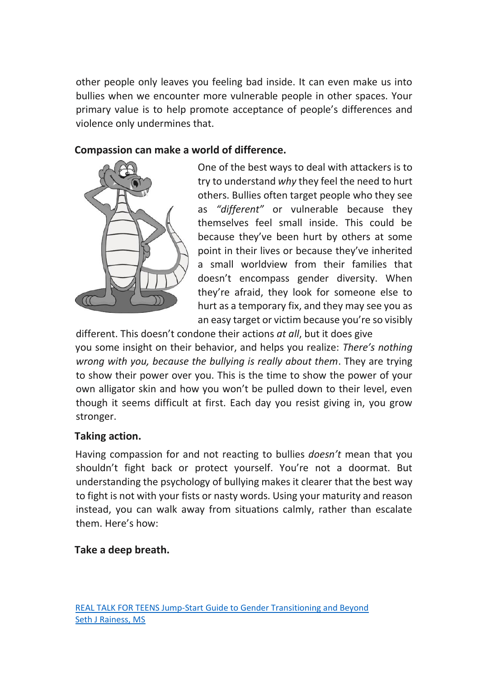other people only leaves you feeling bad inside. It can even make us into bullies when we encounter more vulnerable people in other spaces. Your primary value is to help promote acceptance of people's differences and violence only undermines that.

#### **Compassion can make a world of difference.**



One of the best ways to deal with attackers is to try to understand *why* they feel the need to hurt others. Bullies often target people who they see as *"different"* or vulnerable because they themselves feel small inside. This could be because they've been hurt by others at some point in their lives or because they've inherited a small worldview from their families that doesn't encompass gender diversity. When they're afraid, they look for someone else to hurt as a temporary fix, and they may see you as an easy target or victim because you're so visibly

different. This doesn't condone their actions *at all*, but it does give you some insight on their behavior, and helps you realize: *There's nothing wrong with you, because the bullying is really about them*. They are trying to show their power over you. This is the time to show the power of your own alligator skin and how you won't be pulled down to their level, even though it seems difficult at first. Each day you resist giving in, you grow stronger.

#### **Taking action.**

Having compassion for and not reacting to bullies *doesn't* mean that you shouldn't fight back or protect yourself. You're not a doormat. But understanding the psychology of bullying makes it clearer that the best way to fight is not with your fists or nasty words. Using your maturity and reason instead, you can walk away from situations calmly, rather than escalate them. Here's how:

# **Take a deep breath.**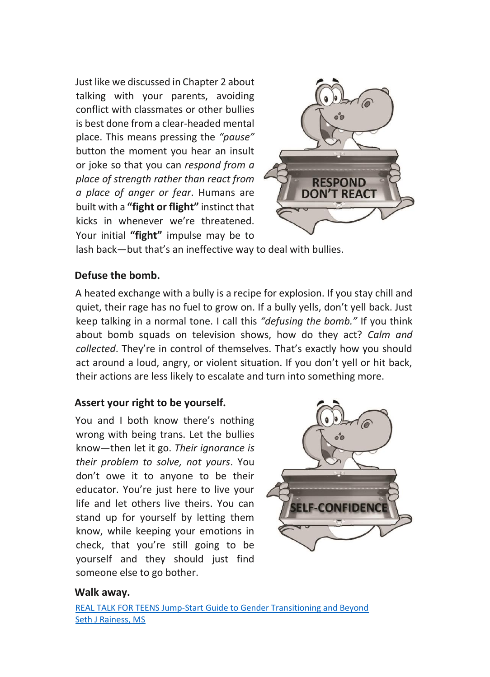Just like we discussed in Chapter 2 about talking with your parents, avoiding conflict with classmates or other bullies is best done from a clear-headed mental place. This means pressing the *"pause"* button the moment you hear an insult or joke so that you can *respond from a place of strength rather than react from a place of anger or fear*. Humans are built with a **"fight or flight"** instinct that kicks in whenever we're threatened. Your initial **"fight"** impulse may be to



lash back—but that's an ineffective way to deal with bullies.

#### **Defuse the bomb.**

A heated exchange with a bully is a recipe for explosion. If you stay chill and quiet, their rage has no fuel to grow on. If a bully yells, don't yell back. Just keep talking in a normal tone. I call this *"defusing the bomb."* If you think about bomb squads on television shows, how do they act? *Calm and collected*. They're in control of themselves. That's exactly how you should act around a loud, angry, or violent situation. If you don't yell or hit back, their actions are less likely to escalate and turn into something more.

# **Assert your right to be yourself.**

You and I both know there's nothing wrong with being trans. Let the bullies know—then let it go. *Their ignorance is their problem to solve, not yours*. You don't owe it to anyone to be their educator. You're just here to live your life and let others live theirs. You can stand up for yourself by letting them know, while keeping your emotions in check, that you're still going to be yourself and they should just find someone else to go bother.



#### **Walk away.**

[REAL TALK FOR TEENS Jump-Start Guide to Gender Transitioning and Beyond](http://bit.ly/20XZNvu) [Seth J Rainess, MS](http://bit.ly/20XZNvu)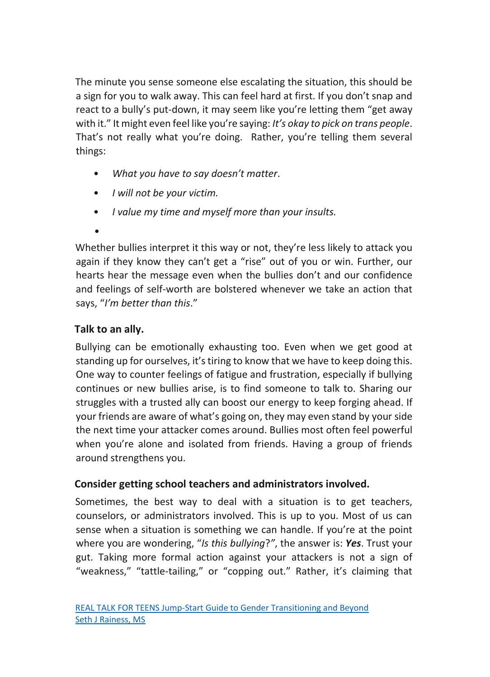The minute you sense someone else escalating the situation, this should be a sign for you to walk away. This can feel hard at first. If you don't snap and react to a bully's put-down, it may seem like you're letting them "get away with it." It might even feel like you're saying: *It's okay to pick on trans people*. That's not really what you're doing. Rather, you're telling them several things:

- *What you have to say doesn't matter*.
- *I will not be your victim.*
- *I value my time and myself more than your insults.*
- •

Whether bullies interpret it this way or not, they're less likely to attack you again if they know they can't get a "rise" out of you or win. Further, our hearts hear the message even when the bullies don't and our confidence and feelings of self-worth are bolstered whenever we take an action that says, "*I'm better than this*."

# **Talk to an ally.**

Bullying can be emotionally exhausting too. Even when we get good at standing up for ourselves, it's tiring to know that we have to keep doing this. One way to counter feelings of fatigue and frustration, especially if bullying continues or new bullies arise, is to find someone to talk to. Sharing our struggles with a trusted ally can boost our energy to keep forging ahead. If your friends are aware of what's going on, they may even stand by your side the next time your attacker comes around. Bullies most often feel powerful when you're alone and isolated from friends. Having a group of friends around strengthens you.

# **Consider getting school teachers and administrators involved.**

Sometimes, the best way to deal with a situation is to get teachers, counselors, or administrators involved. This is up to you. Most of us can sense when a situation is something we can handle. If you're at the point where you are wondering, "*Is this bullying*?*"*, the answer is: *Yes*. Trust your gut. Taking more formal action against your attackers is not a sign of "weakness," "tattle-tailing," or "copping out." Rather, it's claiming that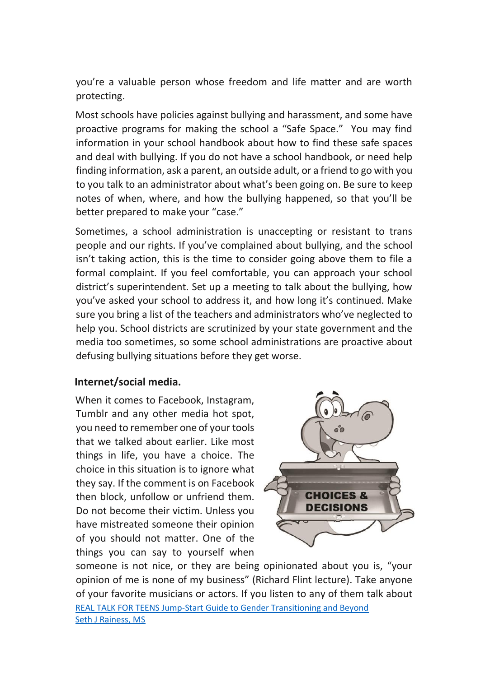you're a valuable person whose freedom and life matter and are worth protecting.

Most schools have policies against bullying and harassment, and some have proactive programs for making the school a "Safe Space." You may find information in your school handbook about how to find these safe spaces and deal with bullying. If you do not have a school handbook, or need help finding information, ask a parent, an outside adult, or a friend to go with you to you talk to an administrator about what's been going on. Be sure to keep notes of when, where, and how the bullying happened, so that you'll be better prepared to make your "case."

Sometimes, a school administration is unaccepting or resistant to trans people and our rights. If you've complained about bullying, and the school isn't taking action, this is the time to consider going above them to file a formal complaint. If you feel comfortable, you can approach your school district's superintendent. Set up a meeting to talk about the bullying, how you've asked your school to address it, and how long it's continued. Make sure you bring a list of the teachers and administrators who've neglected to help you. School districts are scrutinized by your state government and the media too sometimes, so some school administrations are proactive about defusing bullying situations before they get worse.

#### **Internet/social media.**

When it comes to Facebook, Instagram, Tumblr and any other media hot spot, you need to remember one of your tools that we talked about earlier. Like most things in life, you have a choice. The choice in this situation is to ignore what they say. If the comment is on Facebook then block, unfollow or unfriend them. Do not become their victim. Unless you have mistreated someone their opinion of you should not matter. One of the things you can say to yourself when



[REAL TALK FOR TEENS Jump-Start Guide to Gender Transitioning and Beyond](http://bit.ly/20XZNvu) [Seth J Rainess, MS](http://bit.ly/20XZNvu) someone is not nice, or they are being opinionated about you is, "your opinion of me is none of my business" (Richard Flint lecture). Take anyone of your favorite musicians or actors. If you listen to any of them talk about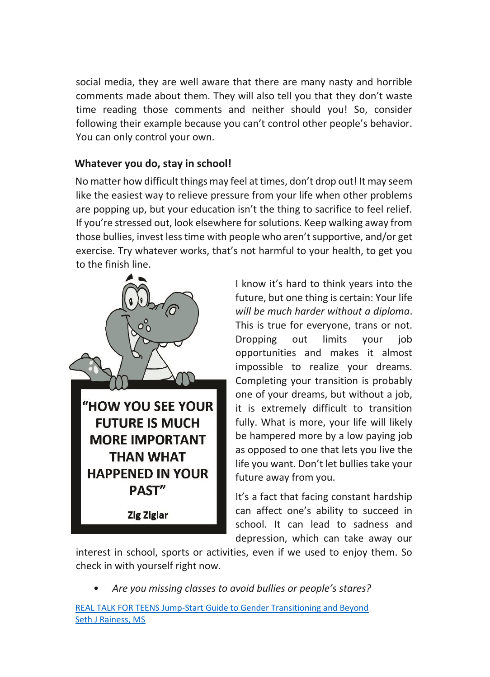social media, they are well aware that there are many nasty and horrible comments made about them. They will also tell you that they don't waste time reading those comments and neither should you! So, consider following their example because you can't control other people's behavior. You can only control your own.

# **Whatever you do, stay in school!**

No matter how difficult things may feel at times, don't drop out! It may seem like the easiest way to relieve pressure from your life when other problems are popping up, but your education isn't the thing to sacrifice to feel relief. If you're stressed out, look elsewhere for solutions. Keep walking away from those bullies, invest less time with people who aren't supportive, and/or get exercise. Try whatever works, that's not harmful to your health, to get you to the finish line.



I know it's hard to think years into the future, but one thing is certain: Your life *will be much harder without a diploma*. This is true for everyone, trans or not. Dropping out limits your job opportunities and makes it almost impossible to realize your dreams. Completing your transition is probably one of your dreams, but without a job, it is extremely difficult to transition fully. What is more, your life will likely be hampered more by a low paying job as opposed to one that lets you live the life you want. Don't let bullies take your future away from you.

It's a fact that facing constant hardship can affect one's ability to succeed in school. It can lead to sadness and depression, which can take away our

interest in school, sports or activities, even if we used to enjoy them. So check in with yourself right now.

• *Are you missing classes to avoid bullies or people's stares?* 

[REAL TALK FOR TEENS Jump-Start Guide to Gender Transitioning and Beyond](http://bit.ly/20XZNvu) [Seth J Rainess, MS](http://bit.ly/20XZNvu)